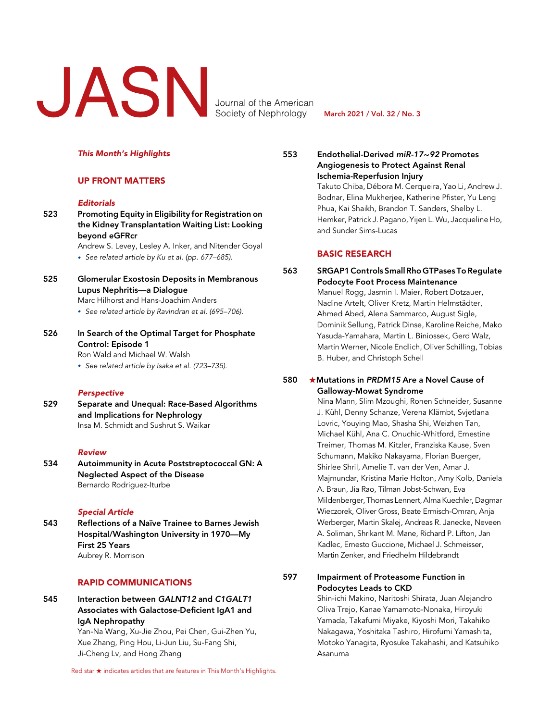# Journal of the American<br>Society of Nephrology

Society of Nephrology

March 2021 / Vol. 32 / No. 3

#### This Month's Highlights

### UP FRONT MATTERS

#### **Editorials**

523 Promoting Equity in Eligibility for Registration on the Kidney Transplantation Waiting List: Looking beyond eGFRcr

Andrew S. Levey, Lesley A. Inker, and Nitender Goyal · See related article by Ku et al. (pp. 677–685).

525 Glomerular Exostosin Deposits in Membranous Lupus Nephritis—a Dialogue

Marc Hilhorst and Hans-Joachim Anders

- · See related article by Ravindran et al. (695–706).
- 526 In Search of the Optimal Target for Phosphate Control: Episode 1

Ron Wald and Michael W. Walsh

· See related article by Isaka et al. (723–735).

#### **Perspective**

529 Separate and Unequal: Race-Based Algorithms and Implications for Nephrology Insa M. Schmidt and Sushrut S. Waikar

#### Review

534 Autoimmunity in Acute Poststreptococcal GN: A Neglected Aspect of the Disease Bernardo Rodriguez-Iturbe

#### Special Article

543 Reflections of a Naïve Trainee to Barnes Jewish Hospital/Washington University in 1970—My First 25 Years Aubrey R. Morrison

## RAPID COMMUNICATIONS

545 Interaction between GALNT12 and C1GALT1 Associates with Galactose-Deficient IgA1 and IgA Nephropathy

Yan-Na Wang, Xu-Jie Zhou, Pei Chen, Gui-Zhen Yu, Xue Zhang, Ping Hou, Li-Jun Liu, Su-Fang Shi, Ji-Cheng Lv, and Hong Zhang

Red star  $\star$  indicates articles that are features in This Month's Highlights.

553 Endothelial-Derived miR-17∼92 Promotes Angiogenesis to Protect Against Renal Ischemia-Reperfusion Injury

Takuto Chiba, Débora M. Cerqueira, Yao Li, Andrew J. Bodnar, Elina Mukherjee, Katherine Pfister, Yu Leng Phua, Kai Shaikh, Brandon T. Sanders, Shelby L. Hemker, Patrick J. Pagano, Yijen L. Wu, Jacqueline Ho, and Sunder Sims-Lucas

## BASIC RESEARCH

563 SRGAP1 Controls Small Rho GTPases To Regulate Podocyte Foot Process Maintenance Manuel Rogg, Jasmin I. Maier, Robert Dotzauer, Nadine Artelt, Oliver Kretz, Martin Helmstädter, Ahmed Abed, Alena Sammarco, August Sigle, Dominik Sellung, Patrick Dinse, Karoline Reiche, Mako Yasuda-Yamahara, Martin L. Biniossek, Gerd Walz, Martin Werner, Nicole Endlich, Oliver Schilling, Tobias B. Huber, and Christoph Schell

## 580  $\star$ Mutations in PRDM15 Are a Novel Cause of Galloway-Mowat Syndrome

Nina Mann, Slim Mzoughi, Ronen Schneider, Susanne J. Kühl, Denny Schanze, Verena Klämbt, Svjetlana Lovric, Youying Mao, Shasha Shi, Weizhen Tan, Michael Kühl, Ana C. Onuchic-Whitford, Ernestine Treimer, Thomas M. Kitzler, Franziska Kause, Sven Schumann, Makiko Nakayama, Florian Buerger, Shirlee Shril, Amelie T. van der Ven, Amar J. Majmundar, Kristina Marie Holton, Amy Kolb, Daniela A. Braun, Jia Rao, Tilman Jobst-Schwan, Eva Mildenberger, Thomas Lennert, Alma Kuechler, Dagmar Wieczorek, Oliver Gross, Beate Ermisch-Omran, Anja Werberger, Martin Skalej, Andreas R. Janecke, Neveen A. Soliman, Shrikant M. Mane, Richard P. Lifton, Jan Kadlec, Ernesto Guccione, Michael J. Schmeisser, Martin Zenker, and Friedhelm Hildebrandt

597 Impairment of Proteasome Function in Podocytes Leads to CKD

> Shin-ichi Makino, Naritoshi Shirata, Juan Alejandro Oliva Trejo, Kanae Yamamoto-Nonaka, Hiroyuki Yamada, Takafumi Miyake, Kiyoshi Mori, Takahiko Nakagawa, Yoshitaka Tashiro, Hirofumi Yamashita, Motoko Yanagita, Ryosuke Takahashi, and Katsuhiko Asanuma